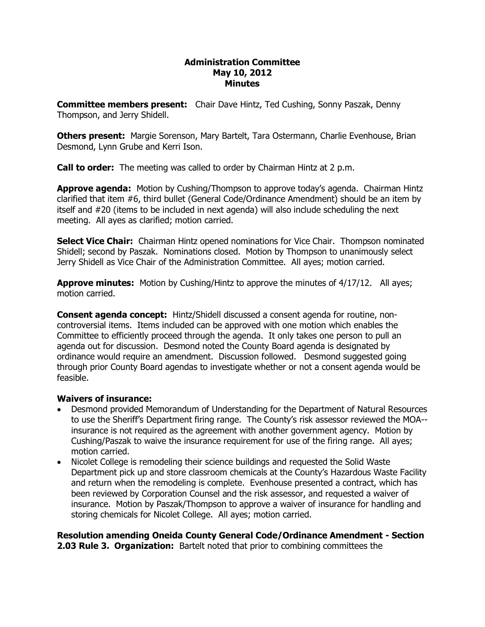#### **Administration Committee May 10, 2012 Minutes**

**Committee members present:**  Chair Dave Hintz, Ted Cushing, Sonny Paszak, Denny Thompson, and Jerry Shidell.

**Others present:**  Margie Sorenson, Mary Bartelt, Tara Ostermann, Charlie Evenhouse, Brian Desmond, Lynn Grube and Kerri Ison.

**Call to order:**  The meeting was called to order by Chairman Hintz at 2 p.m.

**Approve agenda:** Motion by Cushing/Thompson to approve today's agenda. Chairman Hintz clarified that item #6, third bullet (General Code/Ordinance Amendment) should be an item by itself and #20 (items to be included in next agenda) will also include scheduling the next meeting. All ayes as clarified; motion carried.

**Select Vice Chair:** Chairman Hintz opened nominations for Vice Chair. Thompson nominated Shidell; second by Paszak. Nominations closed. Motion by Thompson to unanimously select Jerry Shidell as Vice Chair of the Administration Committee. All ayes; motion carried.

**Approve minutes:** Motion by Cushing/Hintz to approve the minutes of 4/17/12. All ayes; motion carried.

**Consent agenda concept:**  Hintz/Shidell discussed a consent agenda for routine, non controversial items. Items included can be approved with one motion which enables the Committee to efficiently proceed through the agenda. It only takes one person to pull an agenda out for discussion. Desmond noted the County Board agenda is designated by ordinance would require an amendment. Discussion followed. Desmond suggested going through prior County Board agendas to investigate whether or not a consent agenda would be feasible.

### **Waivers of insurance:**

- Desmond provided Memorandum of Understanding for the Department of Natural Resources to use the Sheriff's Department firing range. The County's risk assessor reviewed the MOA insurance is not required as the agreement with another government agency. Motion by Cushing/Paszak to waive the insurance requirement for use of the firing range. All ayes; motion carried.
- · Nicolet College is remodeling their science buildings and requested the Solid Waste Department pick up and store classroom chemicals at the County's Hazardous Waste Facility and return when the remodeling is complete. Evenhouse presented a contract, which has been reviewed by Corporation Counsel and the risk assessor, and requested a waiver of insurance. Motion by Paszak/Thompson to approve a waiver of insurance for handling and storing chemicals for Nicolet College. All ayes; motion carried.

**Resolution amending Oneida County General Code/Ordinance Amendment Section 2.03 Rule 3. Organization:** Bartelt noted that prior to combining committees the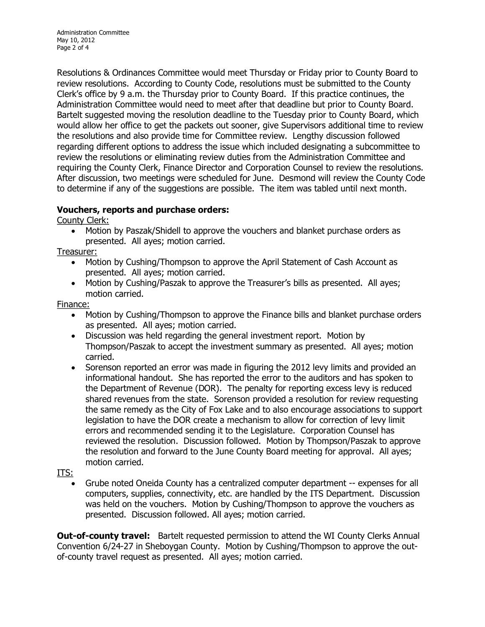Administration Committee May 10, 2012 Page 2 of 4

Resolutions & Ordinances Committee would meet Thursday or Friday prior to County Board to review resolutions. According to County Code, resolutions must be submitted to the County Clerk's office by 9 a.m. the Thursday prior to County Board. If this practice continues, the Administration Committee would need to meet after that deadline but prior to County Board. Bartelt suggested moving the resolution deadline to the Tuesday prior to County Board, which would allow her office to get the packets out sooner, give Supervisors additional time to review the resolutions and also provide time for Committee review. Lengthy discussion followed regarding different options to address the issue which included designating a subcommittee to review the resolutions or eliminating review duties from the Administration Committee and requiring the County Clerk, Finance Director and Corporation Counsel to review the resolutions. After discussion, two meetings were scheduled for June. Desmond will review the County Code to determine if any of the suggestions are possible. The item was tabled until next month.

# **Vouchers, reports and purchase orders:**

County Clerk:

· Motion by Paszak/Shidell to approve the vouchers and blanket purchase orders as presented. All ayes; motion carried.

Treasurer:

- · Motion by Cushing/Thompson to approve the April Statement of Cash Account as presented. All ayes; motion carried.
- · Motion by Cushing/Paszak to approve the Treasurer's bills as presented. All ayes; motion carried.

Finance:

- · Motion by Cushing/Thompson to approve the Finance bills and blanket purchase orders as presented. All ayes; motion carried.
- · Discussion was held regarding the general investment report. Motion by Thompson/Paszak to accept the investment summary as presented. All ayes; motion carried.
- · Sorenson reported an error was made in figuring the 2012 levy limits and provided an informational handout. She has reported the error to the auditors and has spoken to the Department of Revenue (DOR). The penalty for reporting excess levy is reduced shared revenues from the state. Sorenson provided a resolution for review requesting the same remedy as the City of Fox Lake and to also encourage associations to support legislation to have the DOR create a mechanism to allow for correction of levy limit errors and recommended sending it to the Legislature. Corporation Counsel has reviewed the resolution. Discussion followed. Motion by Thompson/Paszak to approve the resolution and forward to the June County Board meeting for approval. All ayes; motion carried.

ITS:

Grube noted Oneida County has a centralized computer department -- expenses for all computers, supplies, connectivity, etc. are handled by the ITS Department. Discussion was held on the vouchers. Motion by Cushing/Thompson to approve the vouchers as presented. Discussion followed. All ayes; motion carried.

**Out-of-county travel:** Bartelt requested permission to attend the WI County Clerks Annual Convention 6/2427 in Sheboygan County. Motion by Cushing/Thompson to approve the out of-county travel request as presented. All ayes; motion carried.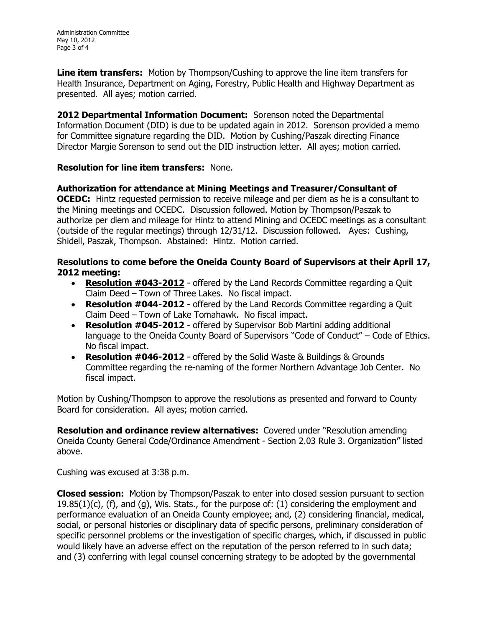**Line item transfers:** Motion by Thompson/Cushing to approve the line item transfers for Health Insurance, Department on Aging, Forestry, Public Health and Highway Department as presented. All ayes; motion carried.

**2012 Departmental Information Document:**  Sorenson noted the Departmental Information Document (DID) is due to be updated again in 2012. Sorenson provided a memo for Committee signature regarding the DID. Motion by Cushing/Paszak directing Finance Director Margie Sorenson to send out the DID instruction letter. All ayes; motion carried.

## **Resolution for line item transfers:** None.

**Authorization for attendance at Mining Meetings and Treasurer/Consultant of OCEDC:** Hintz requested permission to receive mileage and per diem as he is a consultant to the Mining meetings and OCEDC. Discussion followed. Motion by Thompson/Paszak to authorize per diem and mileage for Hintz to attend Mining and OCEDC meetings as a consultant (outside of the regular meetings) through 12/31/12. Discussion followed. Ayes: Cushing, Shidell, Paszak, Thompson. Abstained: Hintz. Motion carried.

### **Resolutions to come before the Oneida County Board of Supervisors at their April 17, 2012 meeting:**

- **Resolution #043-2012** offered by the Land Records Committee regarding a Quit Claim Deed – Town of Three Lakes. No fiscal impact.
- · **Resolution #0442012** offered by the Land Records Committee regarding a Quit Claim Deed – Town of Lake Tomahawk. No fiscal impact.
- · **Resolution #0452012** offered by Supervisor Bob Martini adding additional language to the Oneida County Board of Supervisors "Code of Conduct" – Code of Ethics. No fiscal impact.
- · **Resolution #0462012** offered by the Solid Waste & Buildings & Grounds Committee regarding the re-naming of the former Northern Advantage Job Center. No fiscal impact.

Motion by Cushing/Thompson to approve the resolutions as presented and forward to County Board for consideration. All ayes; motion carried.

**Resolution and ordinance review alternatives:** Covered under "Resolution amending Oneida County General Code/Ordinance Amendment Section 2.03 Rule 3. Organization" listed above.

Cushing was excused at 3:38 p.m.

**Closed session:** Motion by Thompson/Paszak to enter into closed session pursuant to section  $19.85(1)(c)$ , (f), and (g), Wis. Stats., for the purpose of: (1) considering the employment and performance evaluation of an Oneida County employee; and, (2) considering financial, medical, social, or personal histories or disciplinary data of specific persons, preliminary consideration of specific personnel problems or the investigation of specific charges, which, if discussed in public would likely have an adverse effect on the reputation of the person referred to in such data; and (3) conferring with legal counsel concerning strategy to be adopted by the governmental